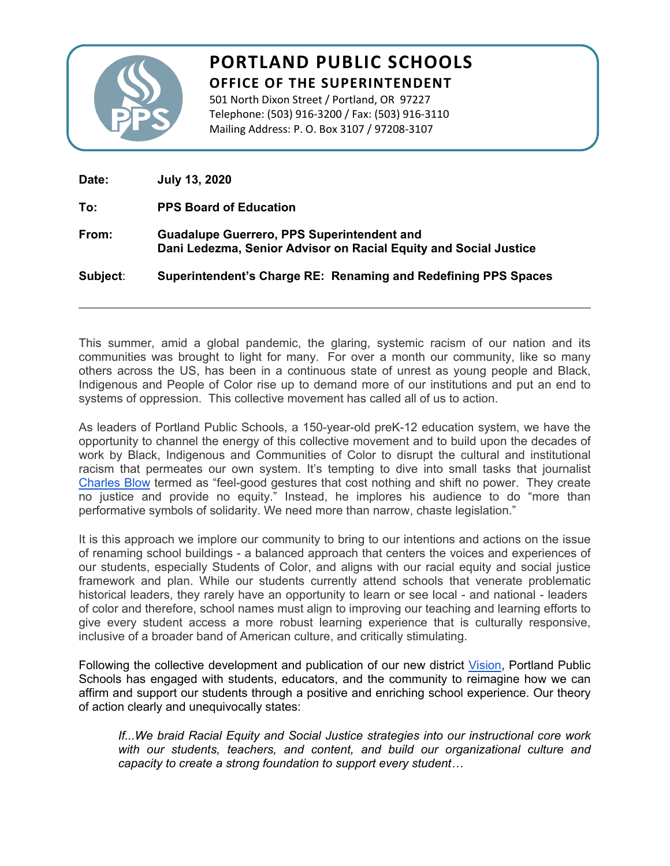

## **PORTLAND PUBLIC SCHOOLS OFFICE OF THE SUPERINTENDENT**

501 North Dixon Street / Portland, OR 97227 Telephone: (503) 916-3200 / Fax: (503) 916-3110 Mailing Address: P. O. Box 3107 / 97208-3107

| Date:    | <b>July 13, 2020</b>                                                                                                  |
|----------|-----------------------------------------------------------------------------------------------------------------------|
| To:      | <b>PPS Board of Education</b>                                                                                         |
| From:    | <b>Guadalupe Guerrero, PPS Superintendent and</b><br>Dani Ledezma, Senior Advisor on Racial Equity and Social Justice |
| Subject: | Superintendent's Charge RE: Renaming and Redefining PPS Spaces                                                        |
|          |                                                                                                                       |

This summer, amid a global pandemic, the glaring, systemic racism of our nation and its communities was brought to light for many. For over a month our community, like so many others across the US, has been in a continuous state of unrest as young people and Black, Indigenous and People of Color rise up to demand more of our institutions and put an end to systems of oppression. This collective movement has called all of us to action.

As leaders of Portland Public Schools, a 150-year-old preK-12 education system, we have the opportunity to channel the energy of this collective movement and to build upon the decades of work by Black, Indigenous and Communities of Color to disrupt the cultural and institutional racism that permeates our own system. It's tempting to dive into small tasks that journalist [Charles Blow](https://www.nytimes.com/2020/06/10/opinion/police-brutality-protests-legislation.html?searchResultPosition=1) termed as "feel-good gestures that cost nothing and shift no power. They create no justice and provide no equity." Instead, he implores his audience to do "more than performative symbols of solidarity. We need more than narrow, chaste legislation."

It is this approach we implore our community to bring to our intentions and actions on the issue of renaming school buildings - a balanced approach that centers the voices and experiences of our students, especially Students of Color, and aligns with our racial equity and social justice framework and plan. While our students currently attend schools that venerate problematic historical leaders, they rarely have an opportunity to learn or see local - and national - leaders of color and therefore, school names must align to improving our teaching and learning efforts to give every student access a more robust learning experience that is culturally responsive, inclusive of a broader band of American culture, and critically stimulating.

Following the collective development and publication of our new district [Vision](https://www.pps.net/cms/lib/OR01913224/Centricity/Domain/219/PPS_Vision_Final.pdf), Portland Public Schools has engaged with students, educators, and the community to reimagine how we can affirm and support our students through a positive and enriching school experience. Our theory of action clearly and unequivocally states:

*If...We braid Racial Equity and Social Justice strategies into our instructional core work with our students, teachers, and content, and build our organizational culture and capacity to create a strong foundation to support every student…*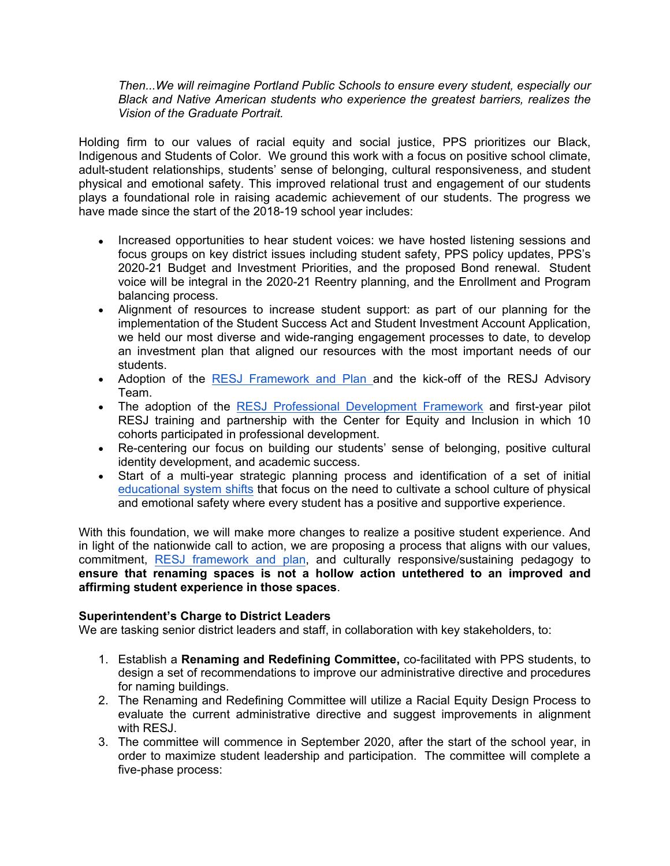*Then...We will reimagine Portland Public Schools to ensure every student, especially our Black and Native American students who experience the greatest barriers, realizes the Vision of the Graduate Portrait.* 

Holding firm to our values of racial equity and social justice, PPS prioritizes our Black, Indigenous and Students of Color. We ground this work with a focus on positive school climate, adult-student relationships, students' sense of belonging, cultural responsiveness, and student physical and emotional safety. This improved relational trust and engagement of our students plays a foundational role in raising academic achievement of our students. The progress we have made since the start of the 2018-19 school year includes:

- Increased opportunities to hear student voices: we have hosted listening sessions and focus groups on key district issues including student safety, PPS policy updates, PPS's 2020-21 Budget and Investment Priorities, and the proposed Bond renewal. Student voice will be integral in the 2020-21 Reentry planning, and the Enrollment and Program balancing process.
- Alignment of resources to increase student support: as part of our planning for the implementation of the Student Success Act and Student Investment Account Application, we held our most diverse and wide-ranging engagement processes to date, to develop an investment plan that aligned our resources with the most important needs of our students.
- Adoption of the [RESJ Framework and Plan](https://www.pps.net/cms/lib/OR01913224/Centricity/Domain/51/RESJ_FrameworkandPlan%20v%2012%202019.pdf) and the kick-off of the RESJ Advisory Team.
- The adoption of the [RESJ Professional Development Framework](https://www.pps.net/cms/lib/OR01913224/Centricity/Domain/4/PDFramework.pdf) and first-year pilot RESJ training and partnership with the Center for Equity and Inclusion in which 10 cohorts participated in professional development.
- Re-centering our focus on building our students' sense of belonging, positive cultural identity development, and academic success.
- Start of a multi-year strategic planning process and identification of a set of initial [educational system shifts](https://www.pps.net/cms/lib/OR01913224/Centricity/domain/219/board%20meeting%20materials/Superintendent%20Strategic%20Plan%20and%20Budget%20Message%202020-21.pdf) that focus on the need to cultivate a school culture of physical and emotional safety where every student has a positive and supportive experience.

With this foundation, we will make more changes to realize a positive student experience. And in light of the nationwide call to action, we are proposing a process that aligns with our values, commitment, [RESJ framework and plan](https://www.pps.net/cms/lib/OR01913224/Centricity/Domain/51/RESJ_FrameworkandPlan%20v%2012%202019.pdf), and culturally responsive/sustaining pedagogy to **ensure that renaming spaces is not a hollow action untethered to an improved and affirming student experience in those spaces**.

## **Superintendent's Charge to District Leaders**

We are tasking senior district leaders and staff, in collaboration with key stakeholders, to:

- 1. Establish a **Renaming and Redefining Committee,** co-facilitated with PPS students, to design a set of recommendations to improve our administrative directive and procedures for naming buildings.
- 2. The Renaming and Redefining Committee will utilize a Racial Equity Design Process to evaluate the current administrative directive and suggest improvements in alignment with RESJ.
- 3. The committee will commence in September 2020, after the start of the school year, in order to maximize student leadership and participation. The committee will complete a five-phase process: